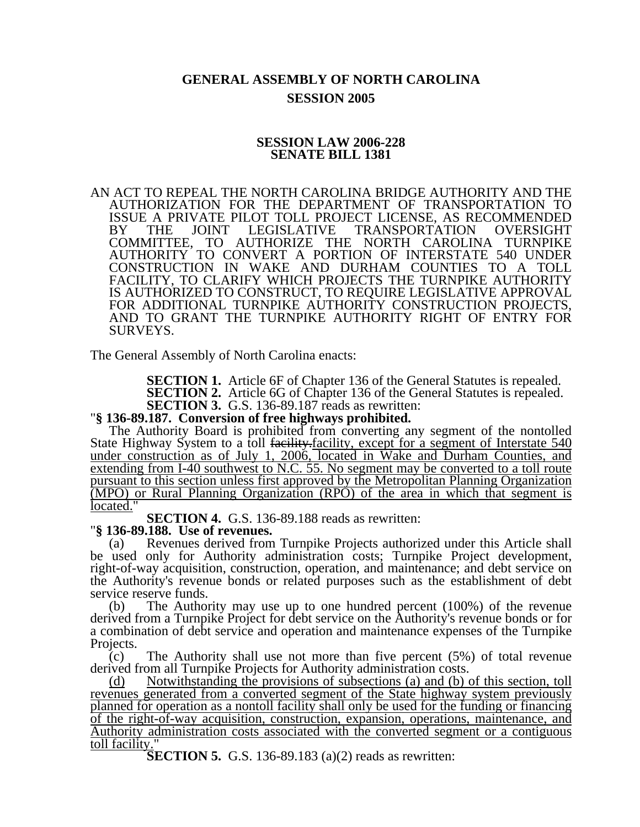## **GENERAL ASSEMBLY OF NORTH CAROLINA SESSION 2005**

## **SESSION LAW 2006-228 SENATE BILL 1381**

AN ACT TO REPEAL THE NORTH CAROLINA BRIDGE AUTHORITY AND THE AUTHORIZATION FOR THE DEPARTMENT OF TRANSPORTATION TO ISSUE A PRIVATE PILOT TOLL PROJECT LICENSE, AS RECOMMENDED BY THE JOINT LEGISLATIVE TRANSPORTATION OVERSIGHT COMMITTEE, TO AUTHORIZE THE NORTH CAROLINA TURNPIKE AUTHORITY TO CONVERT A PORTION OF INTERSTATE 540 UNDER CONSTRUCTION IN WAKE AND DURHAM COUNTIES TO A TOLL FACILITY, TO CLARIFY WHICH PROJECTS THE TURNPIKE AUTHORITY IS AUTHORIZED TO CONSTRUCT, TO REQUIRE LEGISLATIVE APPROVAL FOR ADDITIONAL TURNPIKE AUTHORITY CONSTRUCTION PROJECTS, AND TO GRANT THE TURNPIKE AUTHORITY RIGHT OF ENTRY FOR SURVEYS.

The General Assembly of North Carolina enacts:

**SECTION 1.** Article 6F of Chapter 136 of the General Statutes is repealed.

**SECTION 2.** Article 6G of Chapter 136 of the General Statutes is repealed. **SECTION 3.** G.S. 136-89.187 reads as rewritten:

## **''**§ 136-89.187. Conversion of free highways prohibited.

The Authority Board is prohibited from converting any segment of the nontolled State Highway System to a toll facility-facility, except for a segment of Interstate 540 under construction as of July 1, 2006, located in Wake and Durham Counties, and extending from I-40 southwest to N.C. 55. No segment may be converted to a toll route pursuant to this section unless first approved by the Metropolitan Planning Organization (MPO) or Rural Planning Organization (RPO) of the area in which that segment is located."

**SECTION 4.** G.S. 136-89.188 reads as rewritten: "**§ 136-89.188. Use of revenues.** 

(a) Revenues derived from Turnpike Projects authorized under this Article shall be used only for Authority administration costs; Turnpike Project development, right-of-way acquisition, construction, operation, and maintenance; and debt service on the Authority's revenue bonds or related purposes such as the establishment of debt service reserve funds.

(b) The Authority may use up to one hundred percent (100%) of the revenue derived from a Turnpike Project for debt service on the Authority's revenue bonds or for a combination of debt service and operation and maintenance expenses of the Turnpike Projects.

(c) The Authority shall use not more than five percent (5%) of total revenue derived from all Turnpike Projects for Authority administration costs.

(d) Notwithstanding the provisions of subsections (a) and (b) of this section, toll revenues generated from a converted segment of the State highway system previously planned for operation as a nontoll facility shall only be used for the funding or financing of the right-of-way acquisition, construction, expansion, operations, maintenance, and Authority administration costs associated with the converted segment or a contiguous toll facility."

**SECTION 5.** G.S. 136-89.183 (a)(2) reads as rewritten: